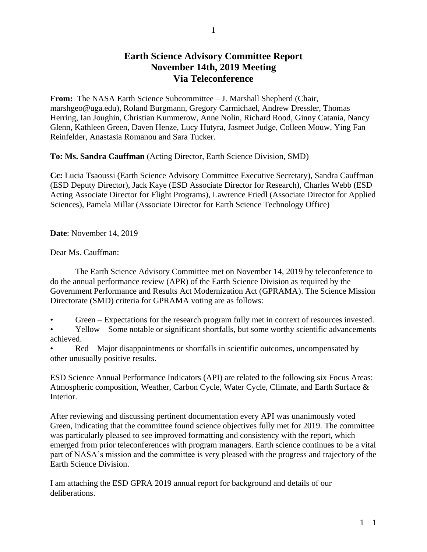## **Earth Science Advisory Committee Report November 14th, 2019 Meeting Via Teleconference**

**From:** The NASA Earth Science Subcommittee – J. Marshall Shepherd (Chair, marshgeo@uga.edu), Roland Burgmann, Gregory Carmichael, Andrew Dressler, Thomas Herring, Ian Joughin, Christian Kummerow, Anne Nolin, Richard Rood, Ginny Catania, Nancy Glenn, Kathleen Green, Daven Henze, Lucy Hutyra, Jasmeet Judge, Colleen Mouw, Ying Fan Reinfelder, Anastasia Romanou and Sara Tucker.

**To: Ms. Sandra Cauffman** (Acting Director, Earth Science Division, SMD)

**Cc:** Lucia Tsaoussi (Earth Science Advisory Committee Executive Secretary), Sandra Cauffman (ESD Deputy Director), Jack Kaye (ESD Associate Director for Research), Charles Webb (ESD Acting Associate Director for Flight Programs), Lawrence Friedl (Associate Director for Applied Sciences), Pamela Millar (Associate Director for Earth Science Technology Office)

**Date**: November 14, 2019

Dear Ms. Cauffman:

The Earth Science Advisory Committee met on November 14, 2019 by teleconference to do the annual performance review (APR) of the Earth Science Division as required by the Government Performance and Results Act Modernization Act (GPRAMA). The Science Mission Directorate (SMD) criteria for GPRAMA voting are as follows:

- Green Expectations for the research program fully met in context of resources invested.
- Yellow Some notable or significant shortfalls, but some worthy scientific advancements achieved.
- Red Major disappointments or shortfalls in scientific outcomes, uncompensated by other unusually positive results.

ESD Science Annual Performance Indicators (API) are related to the following six Focus Areas: Atmospheric composition, Weather, Carbon Cycle, Water Cycle, Climate, and Earth Surface & Interior.

After reviewing and discussing pertinent documentation every API was unanimously voted Green, indicating that the committee found science objectives fully met for 2019. The committee was particularly pleased to see improved formatting and consistency with the report, which emerged from prior teleconferences with program managers. Earth science continues to be a vital part of NASA's mission and the committee is very pleased with the progress and trajectory of the Earth Science Division.

I am attaching the ESD GPRA 2019 annual report for background and details of our deliberations.